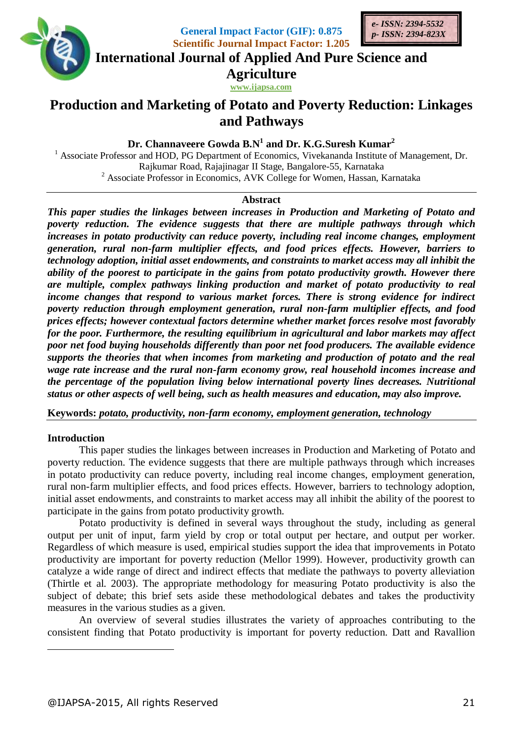

**General Impact Factor (GIF): 0.875 Scientific Journal Impact Factor: 1.205**



**International Journal of Applied And Pure Science and**

**Agriculture**

**www.ijapsa.com** 

# **Production and Marketing of Potato and Poverty Reduction: Linkages and Pathways**

**Dr. Channaveere Gowda B.N<sup>1</sup> and Dr. K.G.Suresh Kumar<sup>2</sup>**

<sup>1</sup> Associate Professor and HOD, PG Department of Economics, Vivekananda Institute of Management, Dr. Rajkumar Road, Rajajinagar II Stage, Bangalore-55, Karnataka <sup>2</sup> Associate Professor in Economics, AVK College for Women, Hassan, Karnataka

## **Abstract**

*This paper studies the linkages between increases in Production and Marketing of Potato and poverty reduction. The evidence suggests that there are multiple pathways through which increases in potato productivity can reduce poverty, including real income changes, employment generation, rural non-farm multiplier effects, and food prices effects. However, barriers to technology adoption, initial asset endowments, and constraints to market access may all inhibit the ability of the poorest to participate in the gains from potato productivity growth. However there are multiple, complex pathways linking production and market of potato productivity to real income changes that respond to various market forces. There is strong evidence for indirect poverty reduction through employment generation, rural non-farm multiplier effects, and food prices effects; however contextual factors determine whether market forces resolve most favorably for the poor. Furthermore, the resulting equilibrium in agricultural and labor markets may affect poor net food buying households differently than poor net food producers. The available evidence supports the theories that when incomes from marketing and production of potato and the real wage rate increase and the rural non-farm economy grow, real household incomes increase and the percentage of the population living below international poverty lines decreases. Nutritional status or other aspects of well being, such as health measures and education, may also improve.*

**Keywords:** *potato, productivity, non-farm economy, employment generation, technology*

# **Introduction**

1

This paper studies the linkages between increases in Production and Marketing of Potato and poverty reduction. The evidence suggests that there are multiple pathways through which increases in potato productivity can reduce poverty, including real income changes, employment generation, rural non-farm multiplier effects, and food prices effects. However, barriers to technology adoption, initial asset endowments, and constraints to market access may all inhibit the ability of the poorest to participate in the gains from potato productivity growth.

Potato productivity is defined in several ways throughout the study, including as general output per unit of input, farm yield by crop or total output per hectare, and output per worker. Regardless of which measure is used, empirical studies support the idea that improvements in Potato productivity are important for poverty reduction (Mellor 1999). However, productivity growth can catalyze a wide range of direct and indirect effects that mediate the pathways to poverty alleviation (Thirtle et al. 2003). The appropriate methodology for measuring Potato productivity is also the subject of debate; this brief sets aside these methodological debates and takes the productivity measures in the various studies as a given.

An overview of several studies illustrates the variety of approaches contributing to the consistent finding that Potato productivity is important for poverty reduction. Datt and Ravallion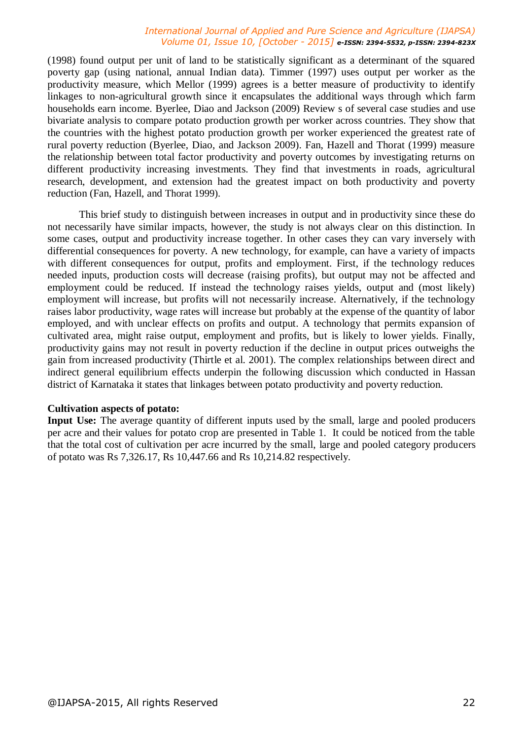(1998) found output per unit of land to be statistically significant as a determinant of the squared poverty gap (using national, annual Indian data). Timmer (1997) uses output per worker as the productivity measure, which Mellor (1999) agrees is a better measure of productivity to identify linkages to non-agricultural growth since it encapsulates the additional ways through which farm households earn income. Byerlee, Diao and Jackson (2009) Review s of several case studies and use bivariate analysis to compare potato production growth per worker across countries. They show that the countries with the highest potato production growth per worker experienced the greatest rate of rural poverty reduction (Byerlee, Diao, and Jackson 2009). Fan, Hazell and Thorat (1999) measure the relationship between total factor productivity and poverty outcomes by investigating returns on different productivity increasing investments. They find that investments in roads, agricultural research, development, and extension had the greatest impact on both productivity and poverty reduction (Fan, Hazell, and Thorat 1999).

This brief study to distinguish between increases in output and in productivity since these do not necessarily have similar impacts, however, the study is not always clear on this distinction. In some cases, output and productivity increase together. In other cases they can vary inversely with differential consequences for poverty. A new technology, for example, can have a variety of impacts with different consequences for output, profits and employment. First, if the technology reduces needed inputs, production costs will decrease (raising profits), but output may not be affected and employment could be reduced. If instead the technology raises yields, output and (most likely) employment will increase, but profits will not necessarily increase. Alternatively, if the technology raises labor productivity, wage rates will increase but probably at the expense of the quantity of labor employed, and with unclear effects on profits and output. A technology that permits expansion of cultivated area, might raise output, employment and profits, but is likely to lower yields. Finally, productivity gains may not result in poverty reduction if the decline in output prices outweighs the gain from increased productivity (Thirtle et al. 2001). The complex relationships between direct and indirect general equilibrium effects underpin the following discussion which conducted in Hassan district of Karnataka it states that linkages between potato productivity and poverty reduction.

#### **Cultivation aspects of potato:**

**Input Use:** The average quantity of different inputs used by the small, large and pooled producers per acre and their values for potato crop are presented in Table 1. It could be noticed from the table that the total cost of cultivation per acre incurred by the small, large and pooled category producers of potato was Rs 7,326.17, Rs 10,447.66 and Rs 10,214.82 respectively.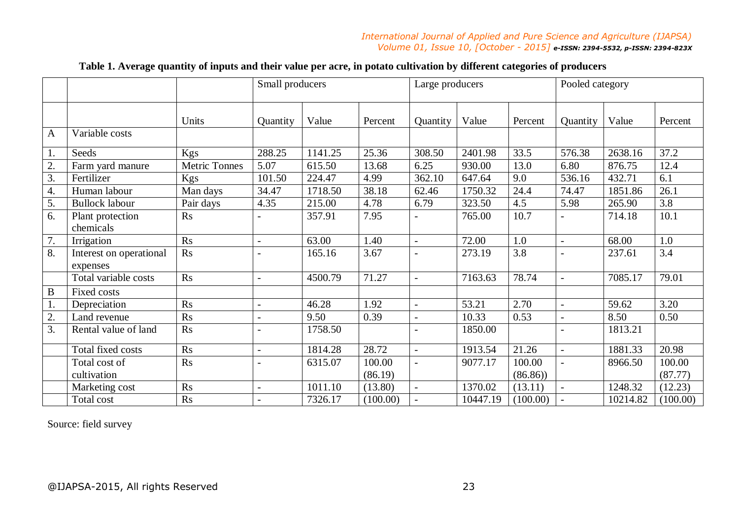|              |                                     |                      | Small producers |         |          | Large producers          |          |          | Pooled category          |          |          |
|--------------|-------------------------------------|----------------------|-----------------|---------|----------|--------------------------|----------|----------|--------------------------|----------|----------|
|              |                                     | Units                | Quantity        | Value   | Percent  | Quantity                 | Value    | Percent  | Quantity                 | Value    | Percent  |
| $\mathbf{A}$ | Variable costs                      |                      |                 |         |          |                          |          |          |                          |          |          |
| 1.           | Seeds                               | Kgs                  | 288.25          | 1141.25 | 25.36    | 308.50                   | 2401.98  | 33.5     | 576.38                   | 2638.16  | 37.2     |
| 2.           | Farm yard manure                    | <b>Metric Tonnes</b> | 5.07            | 615.50  | 13.68    | 6.25                     | 930.00   | 13.0     | 6.80                     | 876.75   | 12.4     |
| 3.           | Fertilizer                          | Kgs                  | 101.50          | 224.47  | 4.99     | 362.10                   | 647.64   | 9.0      | 536.16                   | 432.71   | 6.1      |
| 4.           | Human labour                        | Man days             | 34.47           | 1718.50 | 38.18    | 62.46                    | 1750.32  | 24.4     | 74.47                    | 1851.86  | 26.1     |
| 5.           | <b>Bullock labour</b>               | Pair days            | 4.35            | 215.00  | 4.78     | 6.79                     | 323.50   | 4.5      | 5.98                     | 265.90   | 3.8      |
| 6.           | Plant protection<br>chemicals       | R <sub>S</sub>       |                 | 357.91  | 7.95     | $\overline{a}$           | 765.00   | 10.7     |                          | 714.18   | 10.1     |
| 7.           | Irrigation                          | Rs                   |                 | 63.00   | 1.40     | $\overline{\phantom{a}}$ | 72.00    | 1.0      | $\overline{a}$           | 68.00    | 1.0      |
| 8.           | Interest on operational<br>expenses | R <sub>S</sub>       |                 | 165.16  | 3.67     | $\overline{a}$           | 273.19   | 3.8      |                          | 237.61   | 3.4      |
|              | Total variable costs                | Rs                   | $\overline{a}$  | 4500.79 | 71.27    | $\overline{\phantom{a}}$ | 7163.63  | 78.74    | $\overline{a}$           | 7085.17  | 79.01    |
| $\bf{B}$     | Fixed costs                         |                      |                 |         |          |                          |          |          |                          |          |          |
| 1.           | Depreciation                        | R <sub>S</sub>       | $\blacksquare$  | 46.28   | 1.92     | $\overline{\phantom{a}}$ | 53.21    | 2.70     | $\blacksquare$           | 59.62    | 3.20     |
| $2^{-}$      | Land revenue                        | Rs                   |                 | 9.50    | 0.39     | $\blacksquare$           | 10.33    | 0.53     |                          | 8.50     | 0.50     |
| 3.           | Rental value of land                | Rs                   |                 | 1758.50 |          | $\overline{a}$           | 1850.00  |          |                          | 1813.21  |          |
|              | Total fixed costs                   | Rs                   | $\blacksquare$  | 1814.28 | 28.72    | $\overline{\phantom{a}}$ | 1913.54  | 21.26    | $\overline{\phantom{a}}$ | 1881.33  | 20.98    |
|              | Total cost of                       | Rs                   |                 | 6315.07 | 100.00   | $\overline{\phantom{a}}$ | 9077.17  | 100.00   |                          | 8966.50  | 100.00   |
|              | cultivation                         |                      |                 |         | (86.19)  |                          |          | (86.86)  |                          |          | (87.77)  |
|              | Marketing cost                      | Rs                   |                 | 1011.10 | (13.80)  | $\overline{\phantom{a}}$ | 1370.02  | (13.11)  |                          | 1248.32  | (12.23)  |
|              | Total cost                          | Rs                   |                 | 7326.17 | (100.00) | $\overline{a}$           | 10447.19 | (100.00) |                          | 10214.82 | (100.00) |

# **Table 1. Average quantity of inputs and their value per acre, in potato cultivation by different categories of producers**

Source: field survey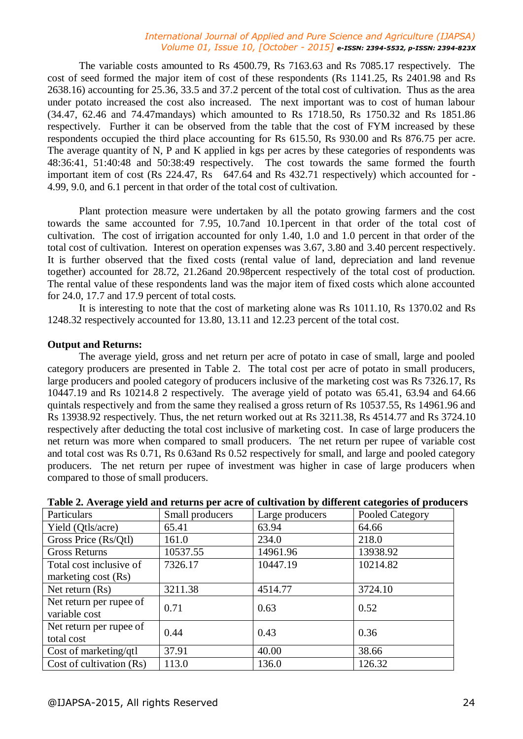The variable costs amounted to Rs 4500.79, Rs 7163.63 and Rs 7085.17 respectively. The cost of seed formed the major item of cost of these respondents (Rs 1141.25, Rs 2401.98 and Rs 2638.16) accounting for 25.36, 33.5 and 37.2 percent of the total cost of cultivation. Thus as the area under potato increased the cost also increased. The next important was to cost of human labour (34.47, 62.46 and 74.47mandays) which amounted to Rs 1718.50, Rs 1750.32 and Rs 1851.86 respectively. Further it can be observed from the table that the cost of FYM increased by these respondents occupied the third place accounting for Rs 615.50, Rs 930.00 and Rs 876.75 per acre. The average quantity of N, P and K applied in kgs per acres by these categories of respondents was 48:36:41, 51:40:48 and 50:38:49 respectively. The cost towards the same formed the fourth important item of cost (Rs 224.47, Rs 647.64 and Rs 432.71 respectively) which accounted for -4.99, 9.0, and 6.1 percent in that order of the total cost of cultivation.

Plant protection measure were undertaken by all the potato growing farmers and the cost towards the same accounted for 7.95, 10.7and 10.1percent in that order of the total cost of cultivation. The cost of irrigation accounted for only 1.40, 1.0 and 1.0 percent in that order of the total cost of cultivation. Interest on operation expenses was 3.67, 3.80 and 3.40 percent respectively. It is further observed that the fixed costs (rental value of land, depreciation and land revenue together) accounted for 28.72, 21.26and 20.98percent respectively of the total cost of production. The rental value of these respondents land was the major item of fixed costs which alone accounted for 24.0, 17.7 and 17.9 percent of total costs.

It is interesting to note that the cost of marketing alone was Rs 1011.10, Rs 1370.02 and Rs 1248.32 respectively accounted for 13.80, 13.11 and 12.23 percent of the total cost.

## **Output and Returns:**

The average yield, gross and net return per acre of potato in case of small, large and pooled category producers are presented in Table 2. The total cost per acre of potato in small producers, large producers and pooled category of producers inclusive of the marketing cost was Rs 7326.17, Rs 10447.19 and Rs 10214.8 2 respectively. The average yield of potato was 65.41, 63.94 and 64.66 quintals respectively and from the same they realised a gross return of Rs 10537.55, Rs 14961.96 and Rs 13938.92 respectively. Thus, the net return worked out at Rs 3211.38, Rs 4514.77 and Rs 3724.10 respectively after deducting the total cost inclusive of marketing cost. In case of large producers the net return was more when compared to small producers. The net return per rupee of variable cost and total cost was Rs 0.71, Rs 0.63and Rs 0.52 respectively for small, and large and pooled category producers. The net return per rupee of investment was higher in case of large producers when compared to those of small producers.

| Particulars              | Small producers | Large producers | Pooled Category |
|--------------------------|-----------------|-----------------|-----------------|
| Yield (Qtls/acre)        | 65.41           | 63.94           | 64.66           |
| Gross Price (Rs/Qtl)     | 161.0           | 234.0           | 218.0           |
| <b>Gross Returns</b>     | 10537.55        | 14961.96        | 13938.92        |
| Total cost inclusive of  | 7326.17         | 10447.19        | 10214.82        |
| marketing cost (Rs)      |                 |                 |                 |
| Net return $(Rs)$        | 3211.38         | 4514.77         | 3724.10         |
| Net return per rupee of  | 0.71            | 0.63            | 0.52            |
| variable cost            |                 |                 |                 |
| Net return per rupee of  | 0.44            | 0.43            | 0.36            |
| total cost               |                 |                 |                 |
| Cost of marketing/qtl    | 37.91           | 40.00           | 38.66           |
| Cost of cultivation (Rs) | 113.0           | 136.0           | 126.32          |

#### **Table 2. Average yield and returns per acre of cultivation by different categories of producers**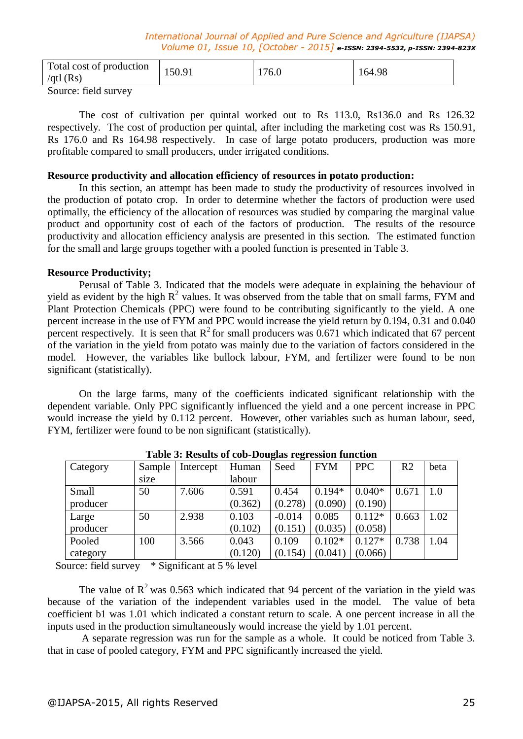| Total cost of production<br>/qtl $(Rs)$ | 150.91 | 176.0 | 164.98 |  |
|-----------------------------------------|--------|-------|--------|--|
|                                         |        |       |        |  |

Source: field survey

The cost of cultivation per quintal worked out to Rs 113.0, Rs136.0 and Rs 126.32 respectively. The cost of production per quintal, after including the marketing cost was Rs 150.91, Rs 176.0 and Rs 164.98 respectively. In case of large potato producers, production was more profitable compared to small producers, under irrigated conditions.

## **Resource productivity and allocation efficiency of resources in potato production:**

In this section, an attempt has been made to study the productivity of resources involved in the production of potato crop. In order to determine whether the factors of production were used optimally, the efficiency of the allocation of resources was studied by comparing the marginal value product and opportunity cost of each of the factors of production. The results of the resource productivity and allocation efficiency analysis are presented in this section. The estimated function for the small and large groups together with a pooled function is presented in Table 3.

## **Resource Productivity;**

Perusal of Table 3. Indicated that the models were adequate in explaining the behaviour of yield as evident by the high  $R^2$  values. It was observed from the table that on small farms, FYM and Plant Protection Chemicals (PPC) were found to be contributing significantly to the yield. A one percent increase in the use of FYM and PPC would increase the yield return by 0.194, 0.31 and 0.040 percent respectively. It is seen that  $R^2$  for small producers was 0.671 which indicated that 67 percent of the variation in the yield from potato was mainly due to the variation of factors considered in the model. However, the variables like bullock labour, FYM, and fertilizer were found to be non significant (statistically).

On the large farms, many of the coefficients indicated significant relationship with the dependent variable. Only PPC significantly influenced the yield and a one percent increase in PPC would increase the yield by 0.112 percent. However, other variables such as human labour, seed, FYM, fertilizer were found to be non significant (statistically).

| Category | Sample | Intercept | Human   | 0<br>0<br>Seed | <b>FYM</b> | <b>PPC</b> | R <sub>2</sub> | beta |
|----------|--------|-----------|---------|----------------|------------|------------|----------------|------|
|          | size   |           | labour  |                |            |            |                |      |
| Small    | 50     | 7.606     | 0.591   | 0.454          | $0.194*$   | $0.040*$   | 0.671          | 1.0  |
| producer |        |           | (0.362) | (0.278)        | (0.090)    | (0.190)    |                |      |
| Large    | 50     | 2.938     | 0.103   | $-0.014$       | 0.085      | $0.112*$   | 0.663          | 1.02 |
| producer |        |           | (0.102) | (0.151)        | (0.035)    | (0.058)    |                |      |
| Pooled   | 100    | 3.566     | 0.043   | 0.109          | $0.102*$   | $0.127*$   | 0.738          | 1.04 |
| category |        |           | (0.120) | (0.154)        | (0.041)    | (0.066)    |                |      |

**Table 3: Results of cob-Douglas regression function**

Source: field survey \* Significant at 5 % level

The value of  $R^2$  was 0.563 which indicated that 94 percent of the variation in the yield was because of the variation of the independent variables used in the model. The value of beta coefficient b1 was 1.01 which indicated a constant return to scale. A one percent increase in all the inputs used in the production simultaneously would increase the yield by 1.01 percent.

A separate regression was run for the sample as a whole. It could be noticed from Table 3. that in case of pooled category, FYM and PPC significantly increased the yield.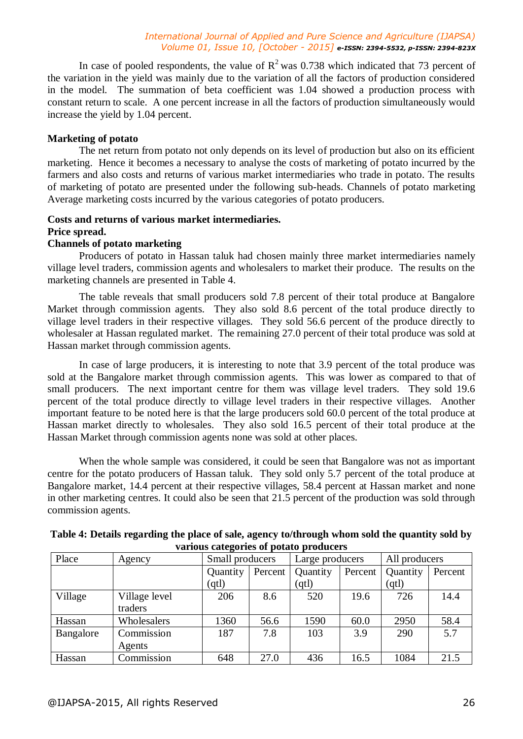In case of pooled respondents, the value of  $R^2$  was 0.738 which indicated that 73 percent of the variation in the yield was mainly due to the variation of all the factors of production considered in the model. The summation of beta coefficient was 1.04 showed a production process with constant return to scale. A one percent increase in all the factors of production simultaneously would increase the yield by 1.04 percent.

## **Marketing of potato**

The net return from potato not only depends on its level of production but also on its efficient marketing. Hence it becomes a necessary to analyse the costs of marketing of potato incurred by the farmers and also costs and returns of various market intermediaries who trade in potato. The results of marketing of potato are presented under the following sub-heads. Channels of potato marketing Average marketing costs incurred by the various categories of potato producers.

## **Costs and returns of various market intermediaries. Price spread.**

## **Channels of potato marketing**

Producers of potato in Hassan taluk had chosen mainly three market intermediaries namely village level traders, commission agents and wholesalers to market their produce. The results on the marketing channels are presented in Table 4.

The table reveals that small producers sold 7.8 percent of their total produce at Bangalore Market through commission agents. They also sold 8.6 percent of the total produce directly to village level traders in their respective villages. They sold 56.6 percent of the produce directly to wholesaler at Hassan regulated market. The remaining 27.0 percent of their total produce was sold at Hassan market through commission agents.

In case of large producers, it is interesting to note that 3.9 percent of the total produce was sold at the Bangalore market through commission agents. This was lower as compared to that of small producers. The next important centre for them was village level traders. They sold 19.6 percent of the total produce directly to village level traders in their respective villages. Another important feature to be noted here is that the large producers sold 60.0 percent of the total produce at Hassan market directly to wholesales. They also sold 16.5 percent of their total produce at the Hassan Market through commission agents none was sold at other places.

When the whole sample was considered, it could be seen that Bangalore was not as important centre for the potato producers of Hassan taluk. They sold only 5.7 percent of the total produce at Bangalore market, 14.4 percent at their respective villages, 58.4 percent at Hassan market and none in other marketing centres. It could also be seen that 21.5 percent of the production was sold through commission agents.

|           | various categories or potato proudcers |                 |         |                 |         |               |         |  |  |  |
|-----------|----------------------------------------|-----------------|---------|-----------------|---------|---------------|---------|--|--|--|
| Place     | Agency                                 | Small producers |         | Large producers |         | All producers |         |  |  |  |
|           |                                        | Quantity        | Percent | Quantity        | Percent | Quantity      | Percent |  |  |  |
|           |                                        | (qtl)           |         | (qtl)           |         | (qtl)         |         |  |  |  |
| Village   | Village level<br>traders               | 206             | 8.6     | 520             | 19.6    | 726           | 14.4    |  |  |  |
| Hassan    | Wholesalers                            | 1360            | 56.6    | 1590            | 60.0    | 2950          | 58.4    |  |  |  |
| Bangalore | Commission<br>Agents                   | 187             | 7.8     | 103             | 3.9     | 290           | 5.7     |  |  |  |
| Hassan    | Commission                             | 648             | 27.0    | 436             | 16.5    | 1084          | 21.5    |  |  |  |

| Table 4: Details regarding the place of sale, agency to/through whom sold the quantity sold by |
|------------------------------------------------------------------------------------------------|
| various categories of potato producers                                                         |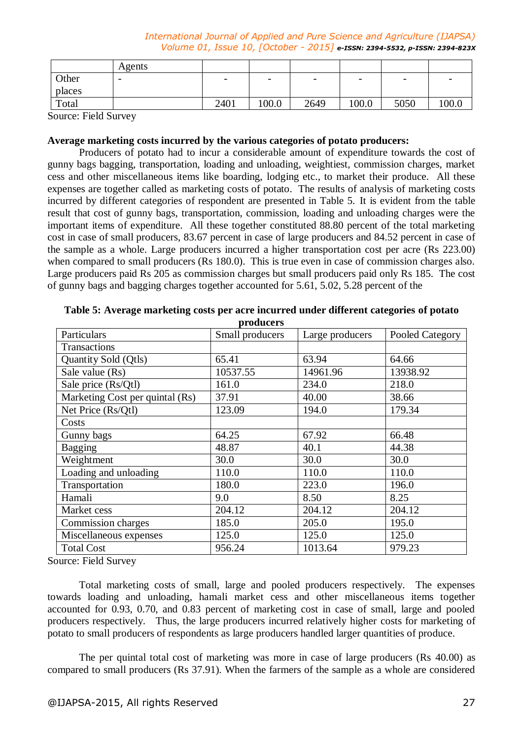|        | Agents |                          |                          |                          |                          |                          |       |
|--------|--------|--------------------------|--------------------------|--------------------------|--------------------------|--------------------------|-------|
| Other  | -      | $\overline{\phantom{0}}$ | $\overline{\phantom{0}}$ | $\overline{\phantom{0}}$ | $\overline{\phantom{0}}$ | $\overline{\phantom{0}}$ |       |
| places |        |                          |                          |                          |                          |                          |       |
| Total  |        | 2401                     | 100.0                    | 2649                     | 100.0                    | 5050                     | 100.0 |

Source: Field Survey

## **Average marketing costs incurred by the various categories of potato producers:**

Producers of potato had to incur a considerable amount of expenditure towards the cost of gunny bags bagging, transportation, loading and unloading, weightiest, commission charges, market cess and other miscellaneous items like boarding, lodging etc., to market their produce. All these expenses are together called as marketing costs of potato. The results of analysis of marketing costs incurred by different categories of respondent are presented in Table 5. It is evident from the table result that cost of gunny bags, transportation, commission, loading and unloading charges were the important items of expenditure. All these together constituted 88.80 percent of the total marketing cost in case of small producers, 83.67 percent in case of large producers and 84.52 percent in case of the sample as a whole. Large producers incurred a higher transportation cost per acre (Rs 223.00) when compared to small producers (Rs 180.0). This is true even in case of commission charges also. Large producers paid Rs 205 as commission charges but small producers paid only Rs 185. The cost of gunny bags and bagging charges together accounted for 5.61, 5.02, 5.28 percent of the

|                                 | prouuccrs       |                 |                 |
|---------------------------------|-----------------|-----------------|-----------------|
| Particulars                     | Small producers | Large producers | Pooled Category |
| Transactions                    |                 |                 |                 |
| Quantity Sold (Qtls)            | 65.41           | 63.94           | 64.66           |
| Sale value (Rs)                 | 10537.55        | 14961.96        | 13938.92        |
| Sale price (Rs/Qtl)             | 161.0           | 234.0           | 218.0           |
| Marketing Cost per quintal (Rs) | 37.91           | 40.00           | 38.66           |
| Net Price (Rs/Qtl)              | 123.09          | 194.0           | 179.34          |
| Costs                           |                 |                 |                 |
| Gunny bags                      | 64.25           | 67.92           | 66.48           |
| <b>Bagging</b>                  | 48.87           | 40.1            | 44.38           |
| Weightment                      | 30.0            | 30.0            | 30.0            |
| Loading and unloading           | 110.0           | 110.0           | 110.0           |
| Transportation                  | 180.0           | 223.0           | 196.0           |
| Hamali                          | 9.0             | 8.50            | 8.25            |
| Market cess                     | 204.12          | 204.12          | 204.12          |
| Commission charges              | 185.0           | 205.0           | 195.0           |
| Miscellaneous expenses          | 125.0           | 125.0           | 125.0           |
| <b>Total Cost</b>               | 956.24          | 1013.64         | 979.23          |

**Table 5: Average marketing costs per acre incurred under different categories of potato producers**

Source: Field Survey

Total marketing costs of small, large and pooled producers respectively. The expenses towards loading and unloading, hamali market cess and other miscellaneous items together accounted for 0.93, 0.70, and 0.83 percent of marketing cost in case of small, large and pooled producers respectively. Thus, the large producers incurred relatively higher costs for marketing of potato to small producers of respondents as large producers handled larger quantities of produce.

The per quintal total cost of marketing was more in case of large producers (Rs 40.00) as compared to small producers (Rs 37.91). When the farmers of the sample as a whole are considered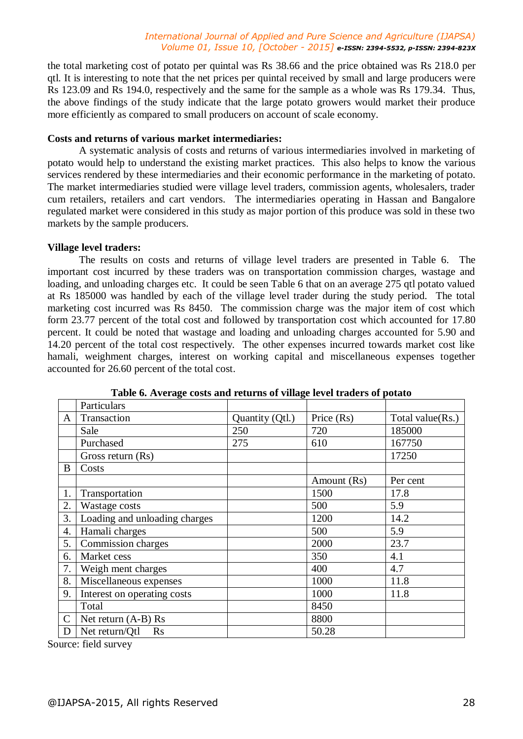the total marketing cost of potato per quintal was Rs 38.66 and the price obtained was Rs 218.0 per qtl. It is interesting to note that the net prices per quintal received by small and large producers were Rs 123.09 and Rs 194.0, respectively and the same for the sample as a whole was Rs 179.34. Thus, the above findings of the study indicate that the large potato growers would market their produce more efficiently as compared to small producers on account of scale economy.

#### **Costs and returns of various market intermediaries:**

A systematic analysis of costs and returns of various intermediaries involved in marketing of potato would help to understand the existing market practices. This also helps to know the various services rendered by these intermediaries and their economic performance in the marketing of potato. The market intermediaries studied were village level traders, commission agents, wholesalers, trader cum retailers, retailers and cart vendors. The intermediaries operating in Hassan and Bangalore regulated market were considered in this study as major portion of this produce was sold in these two markets by the sample producers.

## **Village level traders:**

The results on costs and returns of village level traders are presented in Table 6. The important cost incurred by these traders was on transportation commission charges, wastage and loading, and unloading charges etc. It could be seen Table 6 that on an average 275 qtl potato valued at Rs 185000 was handled by each of the village level trader during the study period. The total marketing cost incurred was Rs 8450. The commission charge was the major item of cost which form 23.77 percent of the total cost and followed by transportation cost which accounted for 17.80 percent. It could be noted that wastage and loading and unloading charges accounted for 5.90 and 14.20 percent of the total cost respectively. The other expenses incurred towards market cost like hamali, weighment charges, interest on working capital and miscellaneous expenses together accounted for 26.60 percent of the total cost.

|                | Particulars                   |                 |             |                  |
|----------------|-------------------------------|-----------------|-------------|------------------|
| A              | Transaction                   | Quantity (Qtl.) | Price (Rs)  | Total value(Rs.) |
|                | Sale                          | 250             | 720         | 185000           |
|                | Purchased                     | 275             | 610         | 167750           |
|                | Gross return (Rs)             |                 |             | 17250            |
| B              | Costs                         |                 |             |                  |
|                |                               |                 | Amount (Rs) | Per cent         |
| 1.             | Transportation                |                 | 1500        | 17.8             |
| 2.             | Wastage costs                 |                 | 500         | 5.9              |
| 3.             | Loading and unloading charges |                 | 1200        | 14.2             |
| 4.             | Hamali charges                |                 | 500         | 5.9              |
| 5.             | Commission charges            |                 | 2000        | 23.7             |
| 6.             | Market cess                   |                 | 350         | 4.1              |
| 7.             | Weigh ment charges            |                 | 400         | 4.7              |
| 8.             | Miscellaneous expenses        |                 | 1000        | 11.8             |
| 9.             | Interest on operating costs   |                 | 1000        | 11.8             |
|                | Total                         |                 | 8450        |                  |
| $\overline{C}$ | Net return $(A-B)$ Rs         |                 | 8800        |                  |
| D              | Net return/Qtl<br><b>Rs</b>   |                 | 50.28       |                  |

**Table 6. Average costs and returns of village level traders of potato**

Source: field survey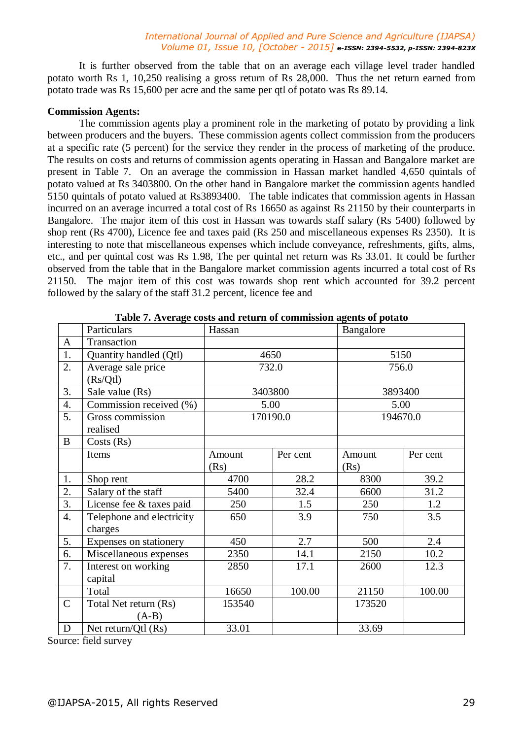It is further observed from the table that on an average each village level trader handled potato worth Rs 1, 10,250 realising a gross return of Rs 28,000. Thus the net return earned from potato trade was Rs 15,600 per acre and the same per qtl of potato was Rs 89.14.

## **Commission Agents:**

The commission agents play a prominent role in the marketing of potato by providing a link between producers and the buyers. These commission agents collect commission from the producers at a specific rate (5 percent) for the service they render in the process of marketing of the produce. The results on costs and returns of commission agents operating in Hassan and Bangalore market are present in Table 7. On an average the commission in Hassan market handled 4,650 quintals of potato valued at Rs 3403800. On the other hand in Bangalore market the commission agents handled 5150 quintals of potato valued at Rs3893400. The table indicates that commission agents in Hassan incurred on an average incurred a total cost of Rs 16650 as against Rs 21150 by their counterparts in Bangalore. The major item of this cost in Hassan was towards staff salary (Rs 5400) followed by shop rent (Rs 4700), Licence fee and taxes paid (Rs 250 and miscellaneous expenses Rs 2350). It is interesting to note that miscellaneous expenses which include conveyance, refreshments, gifts, alms, etc., and per quintal cost was Rs 1.98, The per quintal net return was Rs 33.01. It could be further observed from the table that in the Bangalore market commission agents incurred a total cost of Rs 21150. The major item of this cost was towards shop rent which accounted for 39.2 percent followed by the salary of the staff 31.2 percent, licence fee and

|                  | Particulars               | C TV IST CLUBS CODED WHILE I COMMISSION OF COMMISSION OF<br>Hassan |          | Bangalore |          |
|------------------|---------------------------|--------------------------------------------------------------------|----------|-----------|----------|
| $\mathbf{A}$     | Transaction               |                                                                    |          |           |          |
| 1.               | Quantity handled (Qtl)    | 4650                                                               |          | 5150      |          |
| 2.               | Average sale price        | 732.0                                                              |          | 756.0     |          |
|                  | (Rs/Qtl)                  |                                                                    |          |           |          |
| 3.               | Sale value (Rs)           |                                                                    | 3403800  | 3893400   |          |
| $\overline{4}$ . | Commission received (%)   | 5.00                                                               |          | 5.00      |          |
| 5.               | Gross commission          |                                                                    | 170190.0 | 194670.0  |          |
|                  | realised                  |                                                                    |          |           |          |
| $\overline{B}$   | Costs (Rs)                |                                                                    |          |           |          |
|                  | Items                     | Amount                                                             | Per cent | Amount    | Per cent |
|                  |                           | (Rs)                                                               |          | (Rs)      |          |
| 1.               | Shop rent                 | 4700                                                               | 28.2     | 8300      | 39.2     |
| $\overline{2}$ . | Salary of the staff       | 5400                                                               | 32.4     | 6600      | 31.2     |
| 3.               | License fee & taxes paid  | 250                                                                | 1.5      | 250       | 1.2      |
| 4.               | Telephone and electricity | 650                                                                | 3.9      | 750       | 3.5      |
|                  | charges                   |                                                                    |          |           |          |
| 5.               | Expenses on stationery    | 450                                                                | 2.7      | 500       | 2.4      |
| 6.               | Miscellaneous expenses    | 2350                                                               | 14.1     | 2150      | 10.2     |
| 7.               | Interest on working       | 2850                                                               | 17.1     | 2600      | 12.3     |
|                  | capital                   |                                                                    |          |           |          |
|                  | Total                     | 16650                                                              | 100.00   | 21150     | 100.00   |
| $\mathbf C$      | Total Net return (Rs)     | 153540                                                             |          | 173520    |          |
|                  | $(A-B)$                   |                                                                    |          |           |          |
| $\mathbf D$      | Net return/Qtl (Rs)       | 33.01                                                              |          | 33.69     |          |

**Table 7. Average costs and return of commission agents of potato**

Source: field survey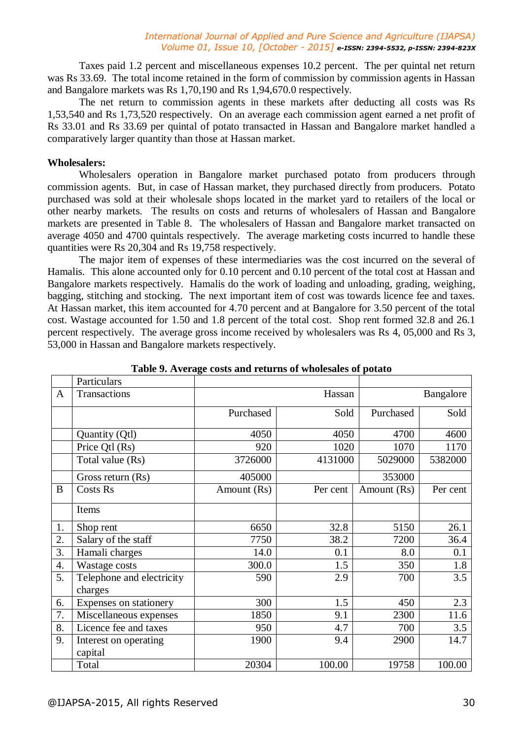Taxes paid 1.2 percent and miscellaneous expenses 10.2 percent. The per quintal net return was Rs 33.69. The total income retained in the form of commission by commission agents in Hassan and Bangalore markets was Rs 1,70,190 and Rs 1,94,670.0 respectively.

The net return to commission agents in these markets after deducting all costs was Rs 1,53,540 and Rs 1,73,520 respectively. On an average each commission agent earned a net profit of Rs 33.01 and Rs 33.69 per quintal of potato transacted in Hassan and Bangalore market handled a comparatively larger quantity than those at Hassan market.

#### **Wholesalers:**

Wholesalers operation in Bangalore market purchased potato from producers through commission agents. But, in case of Hassan market, they purchased directly from producers. Potato purchased was sold at their wholesale shops located in the market yard to retailers of the local or other nearby markets. The results on costs and returns of wholesalers of Hassan and Bangalore markets are presented in Table 8. The wholesalers of Hassan and Bangalore market transacted on average 4050 and 4700 quintals respectively. The average marketing costs incurred to handle these quantities were Rs 20,304 and Rs 19,758 respectively.

The major item of expenses of these intermediaries was the cost incurred on the several of Hamalis. This alone accounted only for 0.10 percent and 0.10 percent of the total cost at Hassan and Bangalore markets respectively. Hamalis do the work of loading and unloading, grading, weighing, bagging, stitching and stocking. The next important item of cost was towards licence fee and taxes. At Hassan market, this item accounted for 4.70 percent and at Bangalore for 3.50 percent of the total cost. Wastage accounted for 1.50 and 1.8 percent of the total cost. Shop rent formed 32.8 and 26.1 percent respectively. The average gross income received by wholesalers was Rs 4, 05,000 and Rs 3, 53,000 in Hassan and Bangalore markets respectively.

|                  | Particulars                          |             |          |             |           |
|------------------|--------------------------------------|-------------|----------|-------------|-----------|
| $\mathbf{A}$     | Transactions                         |             | Hassan   |             | Bangalore |
|                  |                                      | Purchased   | Sold     | Purchased   | Sold      |
|                  | Quantity (Qtl)                       | 4050        | 4050     | 4700        | 4600      |
|                  | Price Qtl (Rs)                       | 920         | 1020     | 1070        | 1170      |
|                  | Total value (Rs)                     | 3726000     | 4131000  | 5029000     | 5382000   |
|                  | Gross return (Rs)                    | 405000      |          | 353000      |           |
| B                | <b>Costs Rs</b>                      | Amount (Rs) | Per cent | Amount (Rs) | Per cent  |
|                  | Items                                |             |          |             |           |
| 1.               | Shop rent                            | 6650        | 32.8     | 5150        | 26.1      |
| 2.               | Salary of the staff                  | 7750        | 38.2     | 7200        | 36.4      |
| 3.               | Hamali charges                       | 14.0        | 0.1      | 8.0         | 0.1       |
| $\overline{4}$ . | Wastage costs                        | 300.0       | 1.5      | 350         | 1.8       |
| 5.               | Telephone and electricity<br>charges | 590         | 2.9      | 700         | 3.5       |
| 6.               | Expenses on stationery               | 300         | 1.5      | 450         | 2.3       |
| 7.               | Miscellaneous expenses               | 1850        | 9.1      | 2300        | 11.6      |
| 8.               | Licence fee and taxes                | 950         | 4.7      | 700         | 3.5       |
| 9.               | Interest on operating<br>capital     | 1900        | 9.4      | 2900        | 14.7      |
|                  | Total                                | 20304       | 100.00   | 19758       | 100.00    |

**Table 9. Average costs and returns of wholesales of potato**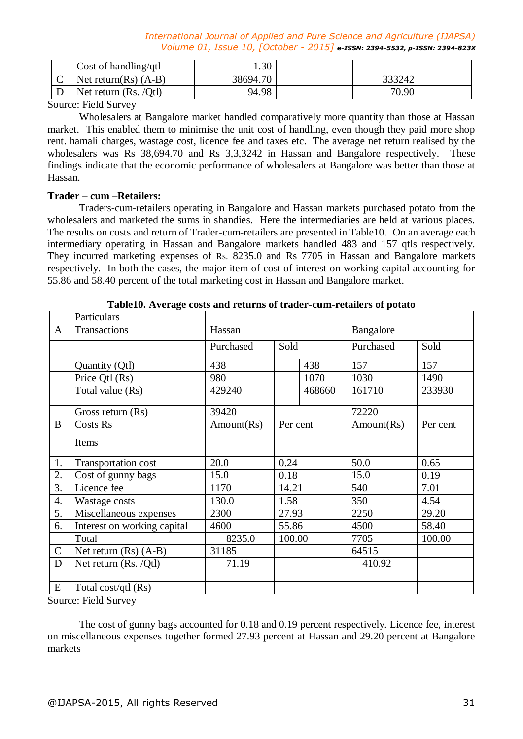|   | Cost of handling/qtl            | $.30^{-}$ |        |  |
|---|---------------------------------|-----------|--------|--|
| ◡ | Net return( $\text{Rs}$ ) (A-B) | 38694.70  | 333242 |  |
|   | Net return $(Rs. /Qt)$          | 94.98     | 70.90  |  |

Source: Field Survey

Wholesalers at Bangalore market handled comparatively more quantity than those at Hassan market. This enabled them to minimise the unit cost of handling, even though they paid more shop rent. hamali charges, wastage cost, licence fee and taxes etc. The average net return realised by the wholesalers was Rs 38,694.70 and Rs 3,3,3242 in Hassan and Bangalore respectively. These findings indicate that the economic performance of wholesalers at Bangalore was better than those at Hassan.

## **Trader – cum –Retailers:**

Traders-cum-retailers operating in Bangalore and Hassan markets purchased potato from the wholesalers and marketed the sums in shandies. Here the intermediaries are held at various places. The results on costs and return of Trader-cum-retailers are presented in Table10. On an average each intermediary operating in Hassan and Bangalore markets handled 483 and 157 qtls respectively. They incurred marketing expenses of Rs. 8235.0 and Rs 7705 in Hassan and Bangalore markets respectively. In both the cases, the major item of cost of interest on working capital accounting for 55.86 and 58.40 percent of the total marketing cost in Hassan and Bangalore market.

|              | Particulars                 |            |          |           |            |          |
|--------------|-----------------------------|------------|----------|-----------|------------|----------|
| $\mathbf{A}$ | Transactions                | Hassan     |          | Bangalore |            |          |
|              |                             | Purchased  | Sold     |           | Purchased  | Sold     |
|              | Quantity (Qtl)              | 438        |          | 438       | 157        | 157      |
|              | Price Qtl (Rs)              | 980        |          | 1070      | 1030       | 1490     |
|              | Total value (Rs)            | 429240     |          | 468660    | 161710     | 233930   |
|              | Gross return (Rs)           | 39420      |          |           | 72220      |          |
| B            | <b>Costs Rs</b>             | Amount(Rs) | Per cent |           | Amount(Rs) | Per cent |
|              | Items                       |            |          |           |            |          |
| 1.           | Transportation cost         | 20.0       | 0.24     |           | 50.0       | 0.65     |
| 2.           | Cost of gunny bags          | 15.0       | 0.18     |           | 15.0       | 0.19     |
| 3.           | Licence fee                 | 1170       | 14.21    |           | 540        | 7.01     |
| 4.           | Wastage costs               | 130.0      | 1.58     |           | 350        | 4.54     |
| 5.           | Miscellaneous expenses      | 2300       | 27.93    |           | 2250       | 29.20    |
| 6.           | Interest on working capital | 4600       | 55.86    |           | 4500       | 58.40    |
|              | Total                       | 8235.0     | 100.00   |           | 7705       | 100.00   |
| $\mathbf C$  | Net return $(Rs)$ $(A-B)$   | 31185      |          |           | 64515      |          |
| D            | Net return $(Rs. /Qt)$      | 71.19      |          |           | 410.92     |          |
| E            | Total cost/qtl (Rs)         |            |          |           |            |          |

**Table10. Average costs and returns of trader-cum-retailers of potato**

Source: Field Survey

The cost of gunny bags accounted for 0.18 and 0.19 percent respectively. Licence fee, interest on miscellaneous expenses together formed 27.93 percent at Hassan and 29.20 percent at Bangalore markets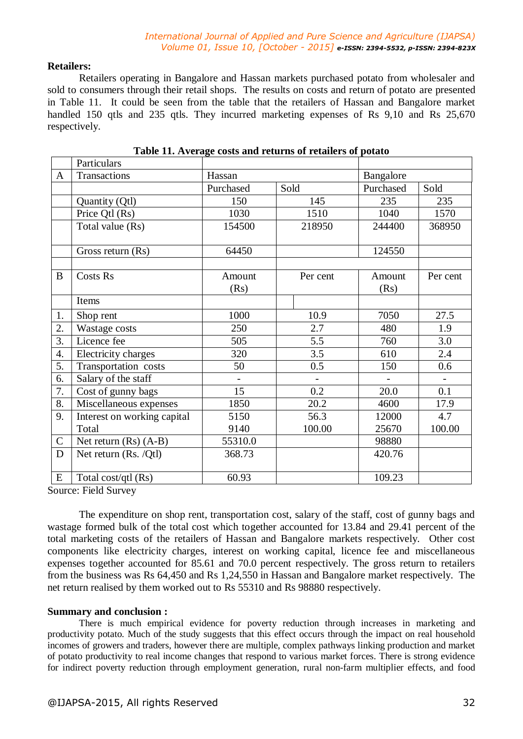## **Retailers:**

Retailers operating in Bangalore and Hassan markets purchased potato from wholesaler and sold to consumers through their retail shops. The results on costs and return of potato are presented in Table 11. It could be seen from the table that the retailers of Hassan and Bangalore market handled 150 qtls and 235 qtls. They incurred marketing expenses of Rs 9,10 and Rs 25,670 respectively.

|                  | Particulars                 |                |                |                |          |
|------------------|-----------------------------|----------------|----------------|----------------|----------|
| $\mathbf{A}$     | Transactions                | Hassan         |                | Bangalore      |          |
|                  |                             | Purchased      | Sold           | Purchased      | Sold     |
|                  | Quantity (Qtl)              | 150            | 145            | 235            | 235      |
|                  | Price Qtl (Rs)              | 1030           | 1510           | 1040           | 1570     |
|                  | Total value (Rs)            | 154500         | 218950         | 244400         | 368950   |
|                  | Gross return (Rs)           | 64450          |                | 124550         |          |
| $\bf{B}$         | <b>Costs Rs</b>             | Amount<br>(Rs) | Per cent       | Amount<br>(Rs) | Per cent |
|                  | Items                       |                |                |                |          |
| 1.               | Shop rent                   | 1000           | 10.9           | 7050           | 27.5     |
| 2.               | Wastage costs               | 250            | 2.7            | 480            | 1.9      |
| 3.               | Licence fee                 | 505            | 5.5            | 760            | 3.0      |
| $\overline{4}$ . | Electricity charges         | 320            | 3.5            | 610            | 2.4      |
| 5.               | Transportation costs        | 50             | 0.5            | 150            | 0.6      |
| 6.               | Salary of the staff         | $\blacksquare$ | $\overline{a}$ |                |          |
| 7.               | Cost of gunny bags          | 15             | 0.2            | 20.0           | 0.1      |
| 8.               | Miscellaneous expenses      | 1850           | 20.2           | 4600           | 17.9     |
| 9.               | Interest on working capital | 5150           | 56.3           | 12000          | 4.7      |
|                  | Total                       | 9140           | 100.00         | 25670          | 100.00   |
| $\mathsf{C}$     | Net return $(Rs)$ $(A-B)$   | 55310.0        |                | 98880          |          |
| $\mathbf D$      | Net return (Rs. /Qtl)       | 368.73         |                | 420.76         |          |
| E                | Total cost/qtl (Rs)         | 60.93          |                | 109.23         |          |

| Table 11. Average costs and returns of retailers of potato |  |  |
|------------------------------------------------------------|--|--|
|                                                            |  |  |

Source: Field Survey

The expenditure on shop rent, transportation cost, salary of the staff, cost of gunny bags and wastage formed bulk of the total cost which together accounted for 13.84 and 29.41 percent of the total marketing costs of the retailers of Hassan and Bangalore markets respectively. Other cost components like electricity charges, interest on working capital, licence fee and miscellaneous expenses together accounted for 85.61 and 70.0 percent respectively. The gross return to retailers from the business was Rs 64,450 and Rs 1,24,550 in Hassan and Bangalore market respectively. The net return realised by them worked out to Rs 55310 and Rs 98880 respectively.

## **Summary and conclusion :**

There is much empirical evidence for poverty reduction through increases in marketing and productivity potato. Much of the study suggests that this effect occurs through the impact on real household incomes of growers and traders, however there are multiple, complex pathways linking production and market of potato productivity to real income changes that respond to various market forces. There is strong evidence for indirect poverty reduction through employment generation, rural non-farm multiplier effects, and food